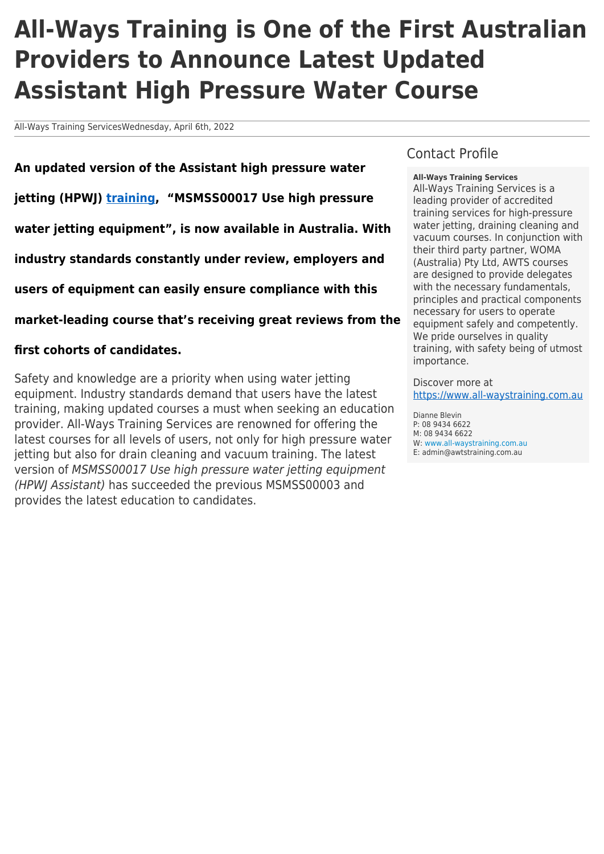# **All-Ways Training is One of the First Australian Providers to Announce Latest Updated Assistant High Pressure Water Course**

All-Ways Training ServicesWednesday, April 6th, 2022

**An updated version of the Assistant high pressure water jetting (HPWJ) [training](https://www.all-waystraining.com.au/), "MSMSS00017 Use high pressure water jetting equipment", is now available in Australia. With industry standards constantly under review, employers and users of equipment can easily ensure compliance with this market-leading course that's receiving great reviews from the**

#### **first cohorts of candidates.**

Safety and knowledge are a priority when using water jetting equipment. Industry standards demand that users have the latest training, making updated courses a must when seeking an education provider. All-Ways Training Services are renowned for offering the latest courses for all levels of users, not only for high pressure water jetting but also for drain cleaning and vacuum training. The latest version of MSMSS00017 Use high pressure water jetting equipment (HPWJ Assistant) has succeeded the previous MSMSS00003 and provides the latest education to candidates.

#### Contact Profile

**All-Ways Training Services**

All-Ways Training Services is a leading provider of accredited training services for high-pressure water jetting, draining cleaning and vacuum courses. In conjunction with their third party partner, WOMA (Australia) Pty Ltd, AWTS courses are designed to provide delegates with the necessary fundamentals, principles and practical components necessary for users to operate equipment safely and competently. We pride ourselves in quality training, with safety being of utmost importance.

Discover more at <https://www.all-waystraining.com.au>

Dianne Blevin P: 08 9434 6622 M: 08 9434 6622 W: [www.all-waystraining.com.au](https://www.all-waystraining.com.au) E: admin@awtstraining.com.au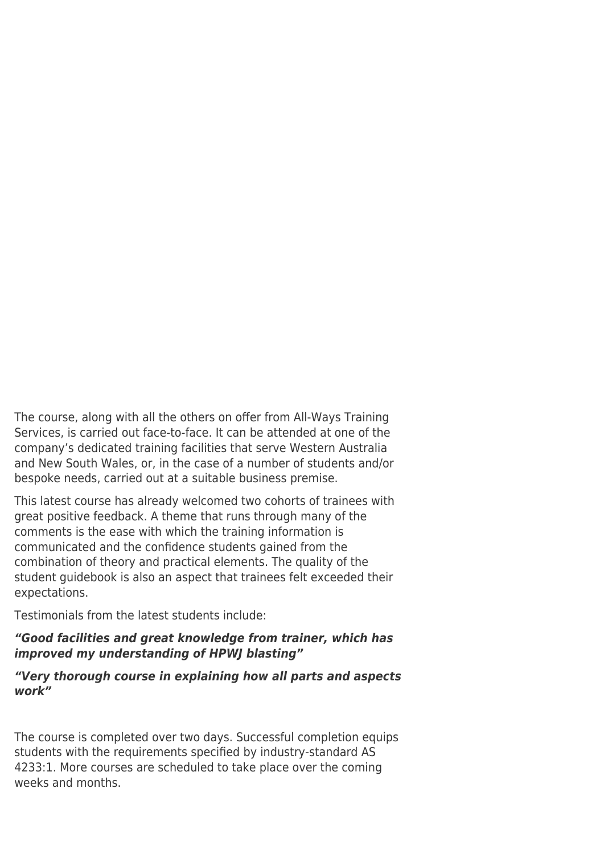The course, along with all the others on offer from All-Ways Training Services, is carried out face-to-face. It can be attended at one of the company's dedicated training facilities that serve Western Australia and New South Wales, or, in the case of a number of students and/or bespoke needs, carried out at a suitable business premise.

This latest course has already welcomed two cohorts of trainees with great positive feedback. A theme that runs through many of the comments is the ease with which the training information is communicated and the confidence students gained from the combination of theory and practical elements. The quality of the student guidebook is also an aspect that trainees felt exceeded their expectations.

Testimonials from the latest students include:

## *"Good facilities and great knowledge from trainer, which has improved my understanding of HPWJ blasting"*

## *"Very thorough course in explaining how all parts and aspects work"*

The course is completed over two days. Successful completion equips students with the requirements specified by industry-standard AS 4233:1. More courses are scheduled to take place over the coming weeks and months.